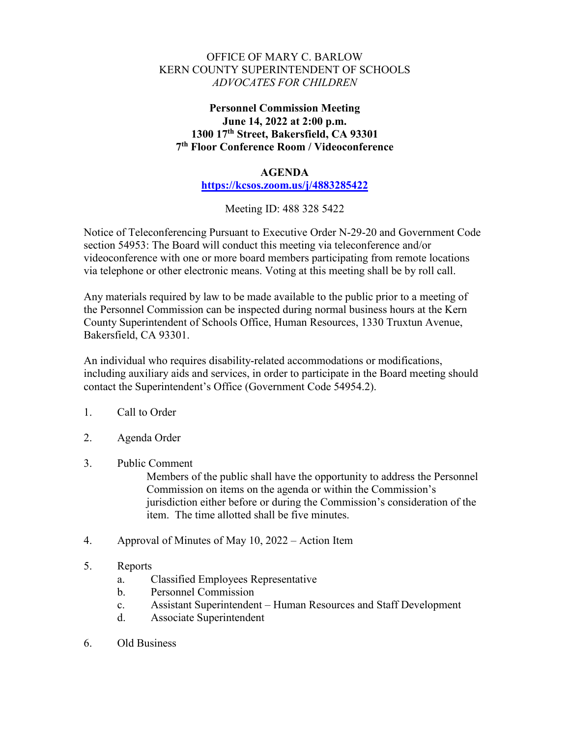## OFFICE OF MARY C. BARLOW KERN COUNTY SUPERINTENDENT OF SCHOOLS *ADVOCATES FOR CHILDREN*

## **Personnel Commission Meeting June 14, 2022 at 2:00 p.m. 1300 17th Street, Bakersfield, CA 93301 7th Floor Conference Room / Videoconference**

## **AGENDA**

**<https://kcsos.zoom.us/j/4883285422>**

Meeting ID: 488 328 5422

Notice of Teleconferencing Pursuant to Executive Order N-29-20 and Government Code section 54953: The Board will conduct this meeting via teleconference and/or videoconference with one or more board members participating from remote locations via telephone or other electronic means. Voting at this meeting shall be by roll call.

Any materials required by law to be made available to the public prior to a meeting of the Personnel Commission can be inspected during normal business hours at the Kern County Superintendent of Schools Office, Human Resources, 1330 Truxtun Avenue, Bakersfield, CA 93301.

An individual who requires disability-related accommodations or modifications, including auxiliary aids and services, in order to participate in the Board meeting should contact the Superintendent's Office (Government Code 54954.2).

- 1. Call to Order
- 2. Agenda Order
- 3. Public Comment

Members of the public shall have the opportunity to address the Personnel Commission on items on the agenda or within the Commission's jurisdiction either before or during the Commission's consideration of the item. The time allotted shall be five minutes.

- 4. Approval of Minutes of May 10, 2022 Action Item
- 5. Reports
	- a. Classified Employees Representative
	- b. Personnel Commission
	- c. Assistant Superintendent Human Resources and Staff Development
	- d. Associate Superintendent
- 6. Old Business